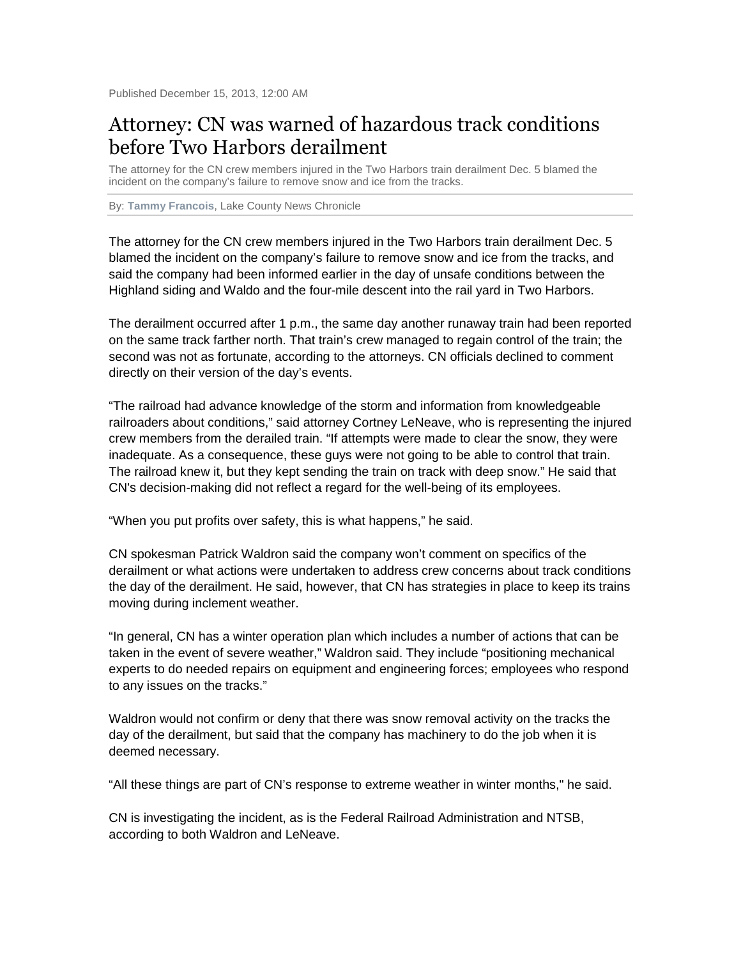## Attorney: CN was warned of hazardous track conditions before Two Harbors derailment

The attorney for the CN crew members injured in the Two Harbors train derailment Dec. 5 blamed the incident on the company's failure to remove snow and ice from the tracks.

By: **Tammy Francois**, Lake County News Chronicle

The attorney for the CN crew members injured in the Two Harbors train derailment Dec. 5 blamed the incident on the company's failure to remove snow and ice from the tracks, and said the company had been informed earlier in the day of unsafe conditions between the Highland siding and Waldo and the four-mile descent into the rail yard in Two Harbors.

The derailment occurred after 1 p.m., the same day another runaway train had been reported on the same track farther north. That train's crew managed to regain control of the train; the second was not as fortunate, according to the attorneys. CN officials declined to comment directly on their version of the day's events.

"The railroad had advance knowledge of the storm and information from knowledgeable railroaders about conditions," said attorney Cortney LeNeave, who is representing the injured crew members from the derailed train. "If attempts were made to clear the snow, they were inadequate. As a consequence, these guys were not going to be able to control that train. The railroad knew it, but they kept sending the train on track with deep snow." He said that CN's decision-making did not reflect a regard for the well-being of its employees.

"When you put profits over safety, this is what happens," he said.

CN spokesman Patrick Waldron said the company won't comment on specifics of the derailment or what actions were undertaken to address crew concerns about track conditions the day of the derailment. He said, however, that CN has strategies in place to keep its trains moving during inclement weather.

"In general, CN has a winter operation plan which includes a number of actions that can be taken in the event of severe weather," Waldron said. They include "positioning mechanical experts to do needed repairs on equipment and engineering forces; employees who respond to any issues on the tracks."

Waldron would not confirm or deny that there was snow removal activity on the tracks the day of the derailment, but said that the company has machinery to do the job when it is deemed necessary.

"All these things are part of CN's response to extreme weather in winter months," he said.

CN is investigating the incident, as is the Federal Railroad Administration and NTSB, according to both Waldron and LeNeave.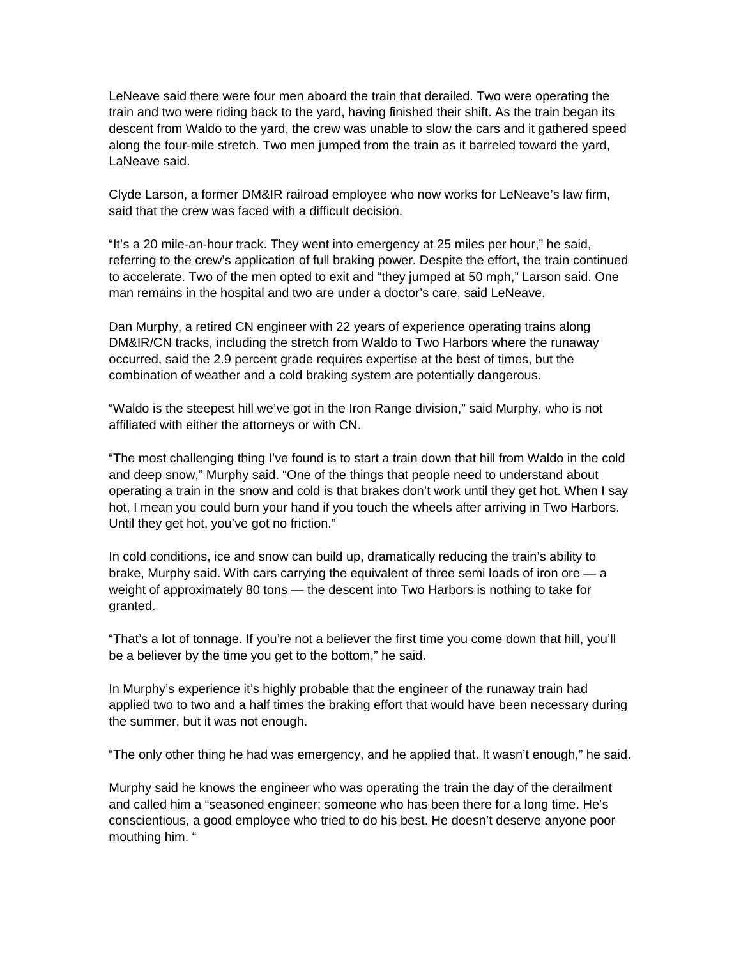LeNeave said there were four men aboard the train that derailed. Two were operating the train and two were riding back to the yard, having finished their shift. As the train began its descent from Waldo to the yard, the crew was unable to slow the cars and it gathered speed along the four-mile stretch. Two men jumped from the train as it barreled toward the yard, LaNeave said.

Clyde Larson, a former DM&IR railroad employee who now works for LeNeave's law firm, said that the crew was faced with a difficult decision.

"It's a 20 mile-an-hour track. They went into emergency at 25 miles per hour," he said, referring to the crew's application of full braking power. Despite the effort, the train continued to accelerate. Two of the men opted to exit and "they jumped at 50 mph," Larson said. One man remains in the hospital and two are under a doctor's care, said LeNeave.

Dan Murphy, a retired CN engineer with 22 years of experience operating trains along DM&IR/CN tracks, including the stretch from Waldo to Two Harbors where the runaway occurred, said the 2.9 percent grade requires expertise at the best of times, but the combination of weather and a cold braking system are potentially dangerous.

"Waldo is the steepest hill we've got in the Iron Range division," said Murphy, who is not affiliated with either the attorneys or with CN.

"The most challenging thing I've found is to start a train down that hill from Waldo in the cold and deep snow," Murphy said. "One of the things that people need to understand about operating a train in the snow and cold is that brakes don't work until they get hot. When I say hot, I mean you could burn your hand if you touch the wheels after arriving in Two Harbors. Until they get hot, you've got no friction."

In cold conditions, ice and snow can build up, dramatically reducing the train's ability to brake, Murphy said. With cars carrying the equivalent of three semi loads of iron ore — a weight of approximately 80 tons — the descent into Two Harbors is nothing to take for granted.

"That's a lot of tonnage. If you're not a believer the first time you come down that hill, you'll be a believer by the time you get to the bottom," he said.

In Murphy's experience it's highly probable that the engineer of the runaway train had applied two to two and a half times the braking effort that would have been necessary during the summer, but it was not enough.

"The only other thing he had was emergency, and he applied that. It wasn't enough," he said.

Murphy said he knows the engineer who was operating the train the day of the derailment and called him a "seasoned engineer; someone who has been there for a long time. He's conscientious, a good employee who tried to do his best. He doesn't deserve anyone poor mouthing him. "